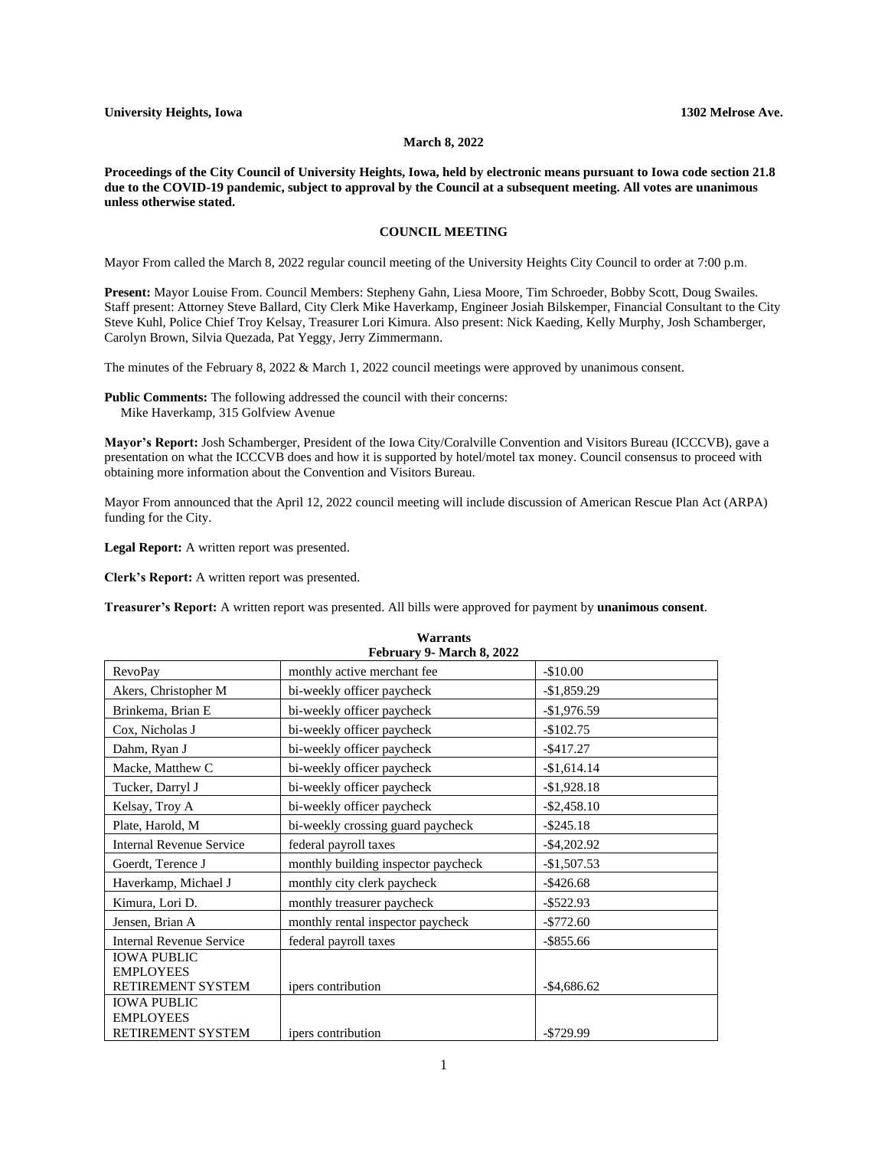## **March 8, 2022**

**Proceedings of the City Council of University Heights, Iowa, held by electronic means pursuant to Iowa code section 21.8 due to the COVID-19 pandemic, subject to approval by the Council at a subsequent meeting. All votes are unanimous unless otherwise stated.**

## **COUNCIL MEETING**

Mayor From called the March 8, 2022 regular council meeting of the University Heights City Council to order at 7:00 p.m.

**Present:** Mayor Louise From. Council Members: Stepheny Gahn, Liesa Moore, Tim Schroeder, Bobby Scott, Doug Swailes. Staff present: Attorney Steve Ballard, City Clerk Mike Haverkamp, Engineer Josiah Bilskemper, Financial Consultant to the City Steve Kuhl, Police Chief Troy Kelsay, Treasurer Lori Kimura. Also present: Nick Kaeding, Kelly Murphy, Josh Schamberger, Carolyn Brown, Silvia Quezada, Pat Yeggy, Jerry Zimmermann.

The minutes of the February 8, 2022 & March 1, 2022 council meetings were approved by unanimous consent.

**Public Comments:** The following addressed the council with their concerns: Mike Haverkamp, 315 Golfview Avenue

**Mayor's Report:** Josh Schamberger, President of the Iowa City/Coralville Convention and Visitors Bureau (ICCCVB), gave a presentation on what the ICCCVB does and how it is supported by hotel/motel tax money. Council consensus to proceed with obtaining more information about the Convention and Visitors Bureau.

Mayor From announced that the April 12, 2022 council meeting will include discussion of American Rescue Plan Act (ARPA) funding for the City.

**Legal Report:** A written report was presented.

**Clerk's Report:** A written report was presented.

**Treasurer's Report:** A written report was presented. All bills were approved for payment by **unanimous consent**.

| February 9- March 8, 2022                                   |                                     |                |  |
|-------------------------------------------------------------|-------------------------------------|----------------|--|
| <b>RevoPay</b>                                              | monthly active merchant fee         | $-$10.00$      |  |
| Akers, Christopher M                                        | bi-weekly officer paycheck          | $-$1,859.29$   |  |
| Brinkema, Brian E                                           | bi-weekly officer paycheck          | $-$1,976.59$   |  |
| Cox, Nicholas J                                             | bi-weekly officer paycheck          | $-$102.75$     |  |
| Dahm, Ryan J                                                | bi-weekly officer paycheck          | $-$ \$417.27   |  |
| Macke, Matthew C                                            | bi-weekly officer paycheck          | $-$1,614.14$   |  |
| Tucker, Darryl J                                            | bi-weekly officer paycheck          | $-$1,928.18$   |  |
| Kelsay, Troy A                                              | bi-weekly officer paycheck          | $-$ \$2,458.10 |  |
| Plate, Harold, M                                            | bi-weekly crossing guard paycheck   | $-$ \$245.18   |  |
| <b>Internal Revenue Service</b>                             | federal payroll taxes               | $-$ \$4,202.92 |  |
| Goerdt, Terence J                                           | monthly building inspector paycheck | $-$1,507.53$   |  |
| Haverkamp, Michael J                                        | monthly city clerk paycheck         | $-$ \$426.68   |  |
| Kimura, Lori D.                                             | monthly treasurer paycheck          | $-$ \$522.93   |  |
| Jensen, Brian A                                             | monthly rental inspector paycheck   | $-$772.60$     |  |
| <b>Internal Revenue Service</b>                             | federal payroll taxes               | $-$ \$855.66   |  |
| <b>IOWA PUBLIC</b><br><b>EMPLOYEES</b><br>RETIREMENT SYSTEM | ipers contribution                  | $-$4,686.62$   |  |
| <b>IOWA PUBLIC</b><br><b>EMPLOYEES</b><br>RETIREMENT SYSTEM | ipers contribution                  | $-$ \$729.99   |  |

**Warrants**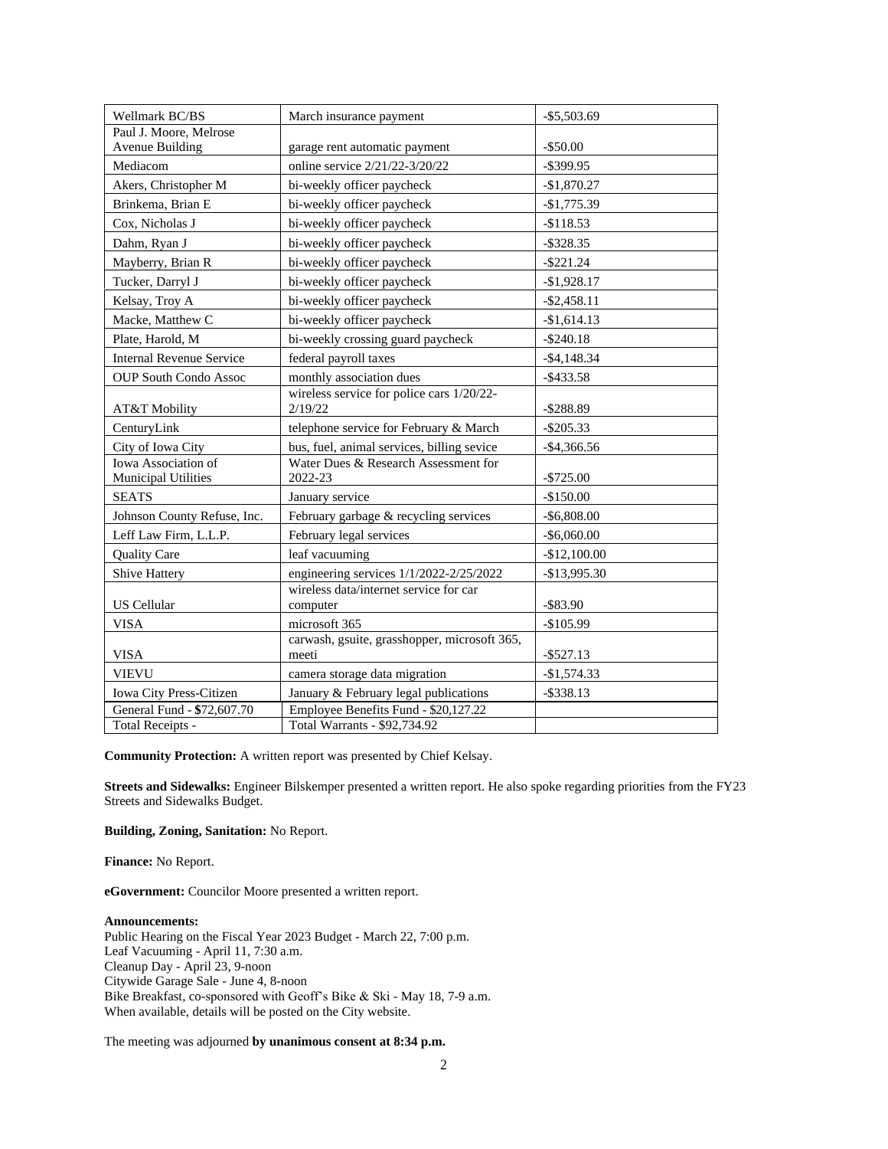| Wellmark BC/BS                                    | March insurance payment                               | $-$ \$5,503.69 |
|---------------------------------------------------|-------------------------------------------------------|----------------|
| Paul J. Moore, Melrose                            |                                                       |                |
| Avenue Building                                   | garage rent automatic payment                         | $-$ \$50.00    |
| Mediacom                                          | online service 2/21/22-3/20/22                        | $-$ \$399.95   |
| Akers, Christopher M                              | bi-weekly officer paycheck                            | $-$1,870.27$   |
| Brinkema, Brian E                                 | bi-weekly officer paycheck                            | $-$1,775.39$   |
| Cox. Nicholas J                                   | bi-weekly officer paycheck                            | $-$118.53$     |
| Dahm, Ryan J                                      | bi-weekly officer paycheck                            | $-$ \$328.35   |
| Mayberry, Brian R                                 | bi-weekly officer paycheck                            | $-$ \$221.24   |
| Tucker, Darryl J                                  | bi-weekly officer paycheck                            | $-$1,928.17$   |
| Kelsay, Troy A                                    | bi-weekly officer paycheck                            | $-$ \$2,458.11 |
| Macke, Matthew C                                  | bi-weekly officer paycheck                            | $-$1,614.13$   |
| Plate, Harold, M                                  | bi-weekly crossing guard paycheck                     | $-$ \$240.18   |
| <b>Internal Revenue Service</b>                   | federal payroll taxes                                 | $-$ \$4,148.34 |
| <b>OUP South Condo Assoc</b>                      | monthly association dues                              | $-$ \$433.58   |
| AT&T Mobility                                     | wireless service for police cars 1/20/22-<br>2/19/22  | $-$ \$288.89   |
| CenturyLink                                       | telephone service for February & March                | $-$ \$205.33   |
| City of Iowa City                                 | bus, fuel, animal services, billing sevice            | $-$ \$4,366.56 |
| Iowa Association of<br><b>Municipal Utilities</b> | Water Dues & Research Assessment for<br>2022-23       | $-$725.00$     |
| <b>SEATS</b>                                      | January service                                       | $-$150.00$     |
| Johnson County Refuse, Inc.                       | February garbage & recycling services                 | $-$ \$6,808.00 |
| Leff Law Firm, L.L.P.                             | February legal services                               | $-$ \$6,060.00 |
| <b>Quality Care</b>                               | leaf vacuuming                                        | $-$12,100.00$  |
| Shive Hattery                                     | engineering services 1/1/2022-2/25/2022               | -\$13,995.30   |
| US Cellular                                       | wireless data/internet service for car<br>computer    | $-$ \$83.90    |
| <b>VISA</b>                                       | microsoft 365                                         | $-$105.99$     |
| <b>VISA</b>                                       | carwash, gsuite, grasshopper, microsoft 365,<br>meeti | $-$ \$527.13   |
| <b>VIEVU</b>                                      | camera storage data migration                         | $-$1,574.33$   |
| Iowa City Press-Citizen                           | January & February legal publications                 | $-$ \$338.13   |
| General Fund - \$72,607.70                        | Employee Benefits Fund - \$20,127.22                  |                |
| Total Receipts -                                  | Total Warrants - \$92,734.92                          |                |

**Community Protection:** A written report was presented by Chief Kelsay.

**Streets and Sidewalks:** Engineer Bilskemper presented a written report. He also spoke regarding priorities from the FY23 Streets and Sidewalks Budget.

**Building, Zoning, Sanitation:** No Report.

**Finance:** No Report.

**eGovernment:** Councilor Moore presented a written report.

## **Announcements:**

Public Hearing on the Fiscal Year 2023 Budget - March 22, 7:00 p.m. Leaf Vacuuming - April 11, 7:30 a.m. Cleanup Day - April 23, 9-noon Citywide Garage Sale - June 4, 8-noon Bike Breakfast, co-sponsored with Geoff's Bike & Ski - May 18, 7-9 a.m. When available, details will be posted on the City website.

The meeting was adjourned **by unanimous consent at 8:34 p.m.**